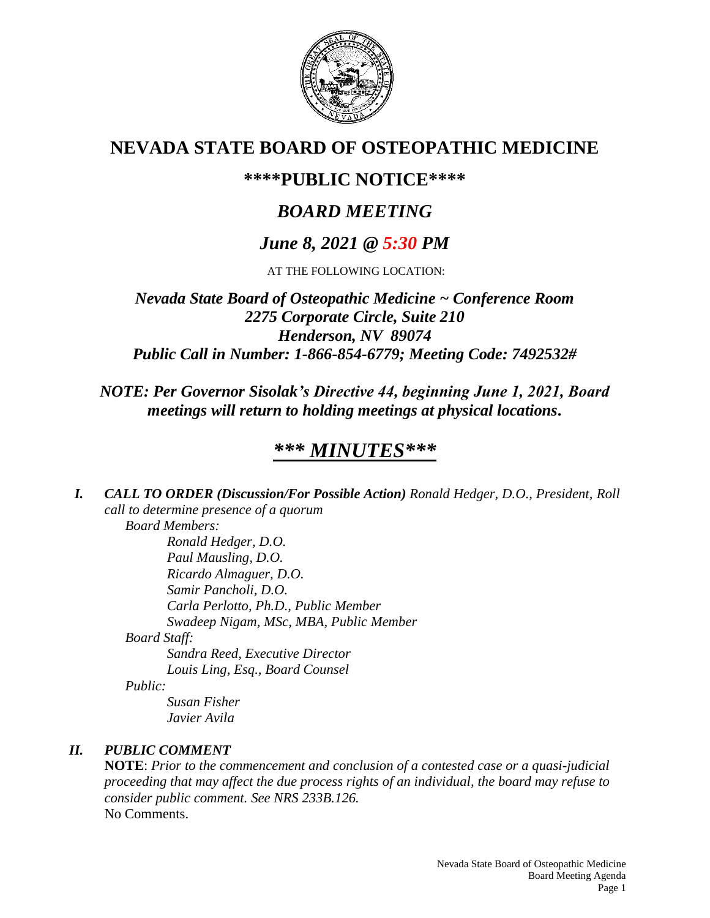

# **NEVADA STATE BOARD OF OSTEOPATHIC MEDICINE**

## **\*\*\*\*PUBLIC NOTICE\*\*\*\***

# *BOARD MEETING*

# *June 8, 2021 @ 5:30 PM*

AT THE FOLLOWING LOCATION:

*Nevada State Board of Osteopathic Medicine ~ Conference Room 2275 Corporate Circle, Suite 210 Henderson, NV 89074 Public Call in Number: 1-866-854-6779; Meeting Code: 7492532#*

*NOTE: Per Governor Sisolak's Directive 44, beginning June 1, 2021, Board meetings will return to holding meetings at physical locations.*

# *\*\*\* MINUTES\*\*\**

*I. CALL TO ORDER (Discussion/For Possible Action) Ronald Hedger, D.O., President, Roll call to determine presence of a quorum Board Members: Ronald Hedger, D.O. Paul Mausling, D.O. Ricardo Almaguer, D.O. Samir Pancholi, D.O.*

*Carla Perlotto, Ph.D., Public Member*

*Swadeep Nigam, MSc, MBA, Public Member*

*Board Staff:*

*Sandra Reed, Executive Director Louis Ling, Esq., Board Counsel*

*Public:*

*Susan Fisher Javier Avila*

## *II. PUBLIC COMMENT*

**NOTE**: *Prior to the commencement and conclusion of a contested case or a quasi-judicial proceeding that may affect the due process rights of an individual, the board may refuse to consider public comment. See NRS 233B.126.* No Comments.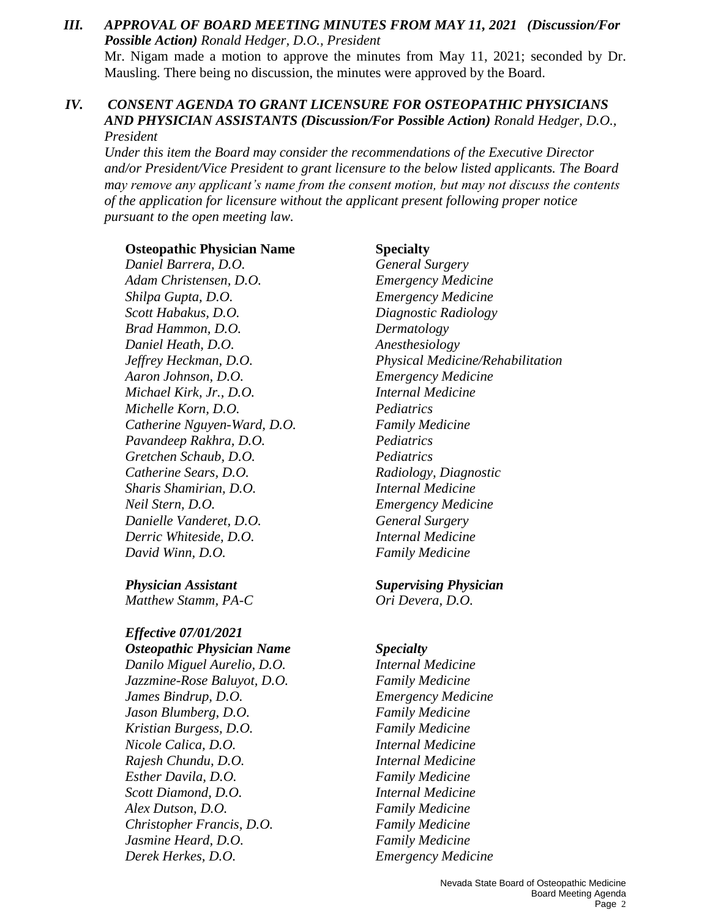*III. APPROVAL OF BOARD MEETING MINUTES FROM MAY 11, 2021 (Discussion/For Possible Action) Ronald Hedger, D.O., President* Mr. Nigam made a motion to approve the minutes from May 11, 2021; seconded by Dr. Mausling. There being no discussion, the minutes were approved by the Board.

### *IV. CONSENT AGENDA TO GRANT LICENSURE FOR OSTEOPATHIC PHYSICIANS AND PHYSICIAN ASSISTANTS (Discussion/For Possible Action) Ronald Hedger, D.O., President*

*Under this item the Board may consider the recommendations of the Executive Director and/or President/Vice President to grant licensure to the below listed applicants. The Board may remove any applicant's name from the consent motion, but may not discuss the contents of the application for licensure without the applicant present following proper notice pursuant to the open meeting law.*

### **Osteopathic Physician Name Specialty**

*Daniel Barrera, D.O. General Surgery Adam Christensen, D.O. Emergency Medicine Shilpa Gupta, D.O. Emergency Medicine Scott Habakus, D.O. Diagnostic Radiology Brad Hammon, D.O. Dermatology Daniel Heath, D.O. Anesthesiology Aaron Johnson, D.O. Emergency Medicine Michael Kirk, Jr., D.O. Internal Medicine Michelle Korn, D.O. Pediatrics Catherine Nguyen-Ward, D.O. Family Medicine Pavandeep Rakhra, D.O. Pediatrics Gretchen Schaub, D.O. Pediatrics Catherine Sears, D.O. Radiology, Diagnostic Sharis Shamirian, D.O. Internal Medicine Neil Stern, D.O. Emergency Medicine Danielle Vanderet, D.O. General Surgery Derric Whiteside, D.O. Internal Medicine David Winn, D.O. Family Medicine*

*Matthew Stamm, PA-C Ori Devera, D.O.* 

*Effective 07/01/2021 Osteopathic Physician Name Specialty Danilo Miguel Aurelio, D.O. Internal Medicine Jazzmine-Rose Baluyot, D.O. Family Medicine James Bindrup, D.O. Emergency Medicine Jason Blumberg, D.O. Family Medicine Kristian Burgess, D.O. Family Medicine Nicole Calica, D.O. Internal Medicine Rajesh Chundu, D.O. Internal Medicine Esther Davila, D.O. Family Medicine Scott Diamond, D.O. Internal Medicine Alex Dutson, D.O. Family Medicine Christopher Francis, D.O. Family Medicine Jasmine Heard, D.O. Family Medicine Derek Herkes, D.O. Emergency Medicine*

*Jeffrey Heckman, D.O. Physical Medicine/Rehabilitation*

### *Physician Assistant Supervising Physician*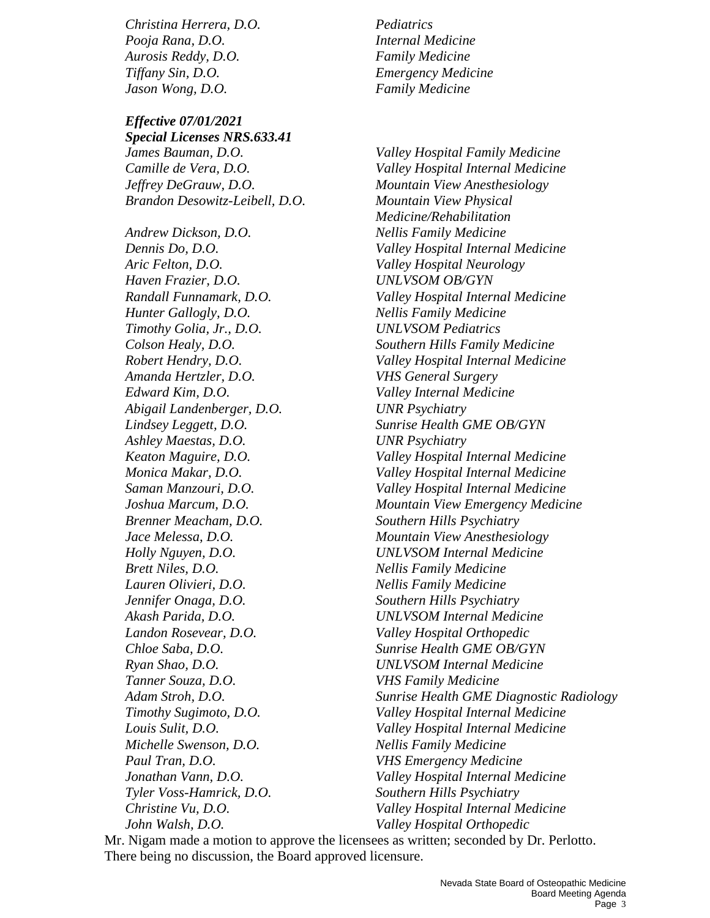*Christina Herrera, D.O. Pediatrics Pooja Rana, D.O. Internal Medicine Aurosis Reddy, D.O. Family Medicine Tiffany Sin, D.O. Emergency Medicine Jason Wong, D.O. Family Medicine*

*Effective 07/01/2021 Special Licenses NRS.633.41 James Bauman, D.O. Valley Hospital Family Medicine*

*Andrew Dickson, D.O. Nellis Family Medicine Aric Felton, D.O. Valley Hospital Neurology Haven Frazier, D.O. UNLVSOM OB/GYN Hunter Gallogly, D.O. Nellis Family Medicine Timothy Golia, Jr., D.O. UNLVSOM Pediatrics Amanda Hertzler, D.O. VHS General Surgery Edward Kim, D.O. Valley Internal Medicine Abigail Landenberger, D.O. UNR Psychiatry Ashley Maestas, D.O. UNR Psychiatry Brenner Meacham, D.O. Southern Hills Psychiatry Brett Niles, D.O. Nellis Family Medicine Lauren Olivieri, D.O. Nellis Family Medicine Jennifer Onaga, D.O. Southern Hills Psychiatry Landon Rosevear, D.O. Valley Hospital Orthopedic Tanner Souza, D.O. VHS Family Medicine Michelle Swenson, D.O. Nellis Family Medicine Paul Tran, D.O. VHS Emergency Medicine Tyler Voss-Hamrick, D.O. Southern Hills Psychiatry John Walsh, D.O. Valley Hospital Orthopedic*

*Camille de Vera, D.O. Valley Hospital Internal Medicine Jeffrey DeGrauw, D.O. Mountain View Anesthesiology Brandon Desowitz-Leibell, D.O. Mountain View Physical Medicine/Rehabilitation Dennis Do, D.O. Valley Hospital Internal Medicine Randall Funnamark, D.O. Valley Hospital Internal Medicine Colson Healy, D.O. Southern Hills Family Medicine Robert Hendry, D.O. Valley Hospital Internal Medicine Lindsey Leggett, D.O. Sunrise Health GME OB/GYN Keaton Maguire, D.O. Valley Hospital Internal Medicine Monica Makar, D.O. Valley Hospital Internal Medicine Saman Manzouri, D.O. Valley Hospital Internal Medicine Joshua Marcum, D.O. Mountain View Emergency Medicine Jace Melessa, D.O. Mountain View Anesthesiology Holly Nguyen, D.O. UNLVSOM Internal Medicine Akash Parida, D.O. UNLVSOM Internal Medicine Chloe Saba, D.O. Sunrise Health GME OB/GYN Ryan Shao, D.O. UNLVSOM Internal Medicine Adam Stroh, D.O. Sunrise Health GME Diagnostic Radiology Timothy Sugimoto, D.O. Valley Hospital Internal Medicine Louis Sulit, D.O. Valley Hospital Internal Medicine Jonathan Vann, D.O. Valley Hospital Internal Medicine Christine Vu, D.O. Valley Hospital Internal Medicine*

Mr. Nigam made a motion to approve the licensees as written; seconded by Dr. Perlotto. There being no discussion, the Board approved licensure.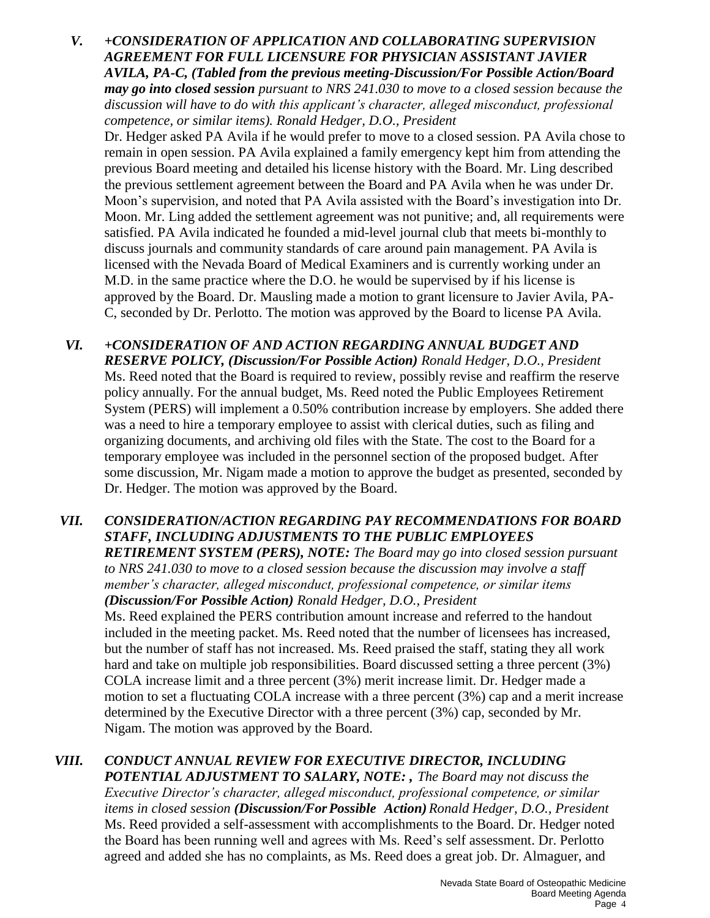*V. +CONSIDERATION OF APPLICATION AND COLLABORATING SUPERVISION AGREEMENT FOR FULL LICENSURE FOR PHYSICIAN ASSISTANT JAVIER AVILA, PA-C, (Tabled from the previous meeting-Discussion/For Possible Action/Board may go into closed session pursuant to NRS 241.030 to move to a closed session because the discussion will have to do with this applicant's character, alleged misconduct, professional competence, or similar items). Ronald Hedger, D.O., President*

Dr. Hedger asked PA Avila if he would prefer to move to a closed session. PA Avila chose to remain in open session. PA Avila explained a family emergency kept him from attending the previous Board meeting and detailed his license history with the Board. Mr. Ling described the previous settlement agreement between the Board and PA Avila when he was under Dr. Moon's supervision, and noted that PA Avila assisted with the Board's investigation into Dr. Moon. Mr. Ling added the settlement agreement was not punitive; and, all requirements were satisfied. PA Avila indicated he founded a mid-level journal club that meets bi-monthly to discuss journals and community standards of care around pain management. PA Avila is licensed with the Nevada Board of Medical Examiners and is currently working under an M.D. in the same practice where the D.O. he would be supervised by if his license is approved by the Board. Dr. Mausling made a motion to grant licensure to Javier Avila, PA-C, seconded by Dr. Perlotto. The motion was approved by the Board to license PA Avila.

*VI. +CONSIDERATION OF AND ACTION REGARDING ANNUAL BUDGET AND RESERVE POLICY, (Discussion/For Possible Action) Ronald Hedger, D.O., President* Ms. Reed noted that the Board is required to review, possibly revise and reaffirm the reserve policy annually. For the annual budget, Ms. Reed noted the Public Employees Retirement System (PERS) will implement a 0.50% contribution increase by employers. She added there was a need to hire a temporary employee to assist with clerical duties, such as filing and organizing documents, and archiving old files with the State. The cost to the Board for a temporary employee was included in the personnel section of the proposed budget. After some discussion, Mr. Nigam made a motion to approve the budget as presented, seconded by Dr. Hedger. The motion was approved by the Board.

*VII. CONSIDERATION/ACTION REGARDING PAY RECOMMENDATIONS FOR BOARD STAFF, INCLUDING ADJUSTMENTS TO THE PUBLIC EMPLOYEES RETIREMENT SYSTEM (PERS), NOTE: The Board may go into closed session pursuant to NRS 241.030 to move to a closed session because the discussion may involve a staff member's character, alleged misconduct, professional competence, or similar items (Discussion/For Possible Action) Ronald Hedger, D.O., President*

Ms. Reed explained the PERS contribution amount increase and referred to the handout included in the meeting packet. Ms. Reed noted that the number of licensees has increased, but the number of staff has not increased. Ms. Reed praised the staff, stating they all work hard and take on multiple job responsibilities. Board discussed setting a three percent (3%) COLA increase limit and a three percent (3%) merit increase limit. Dr. Hedger made a motion to set a fluctuating COLA increase with a three percent (3%) cap and a merit increase determined by the Executive Director with a three percent (3%) cap, seconded by Mr. Nigam. The motion was approved by the Board.

### *VIII. CONDUCT ANNUAL REVIEW FOR EXECUTIVE DIRECTOR, INCLUDING POTENTIAL ADJUSTMENT TO SALARY, NOTE: , The Board may not discuss the*

*Executive Director's character, alleged misconduct, professional competence, or similar items in closed session (Discussion/ForPossible Action)Ronald Hedger, D.O., President* Ms. Reed provided a self-assessment with accomplishments to the Board. Dr. Hedger noted the Board has been running well and agrees with Ms. Reed's self assessment. Dr. Perlotto agreed and added she has no complaints, as Ms. Reed does a great job. Dr. Almaguer, and